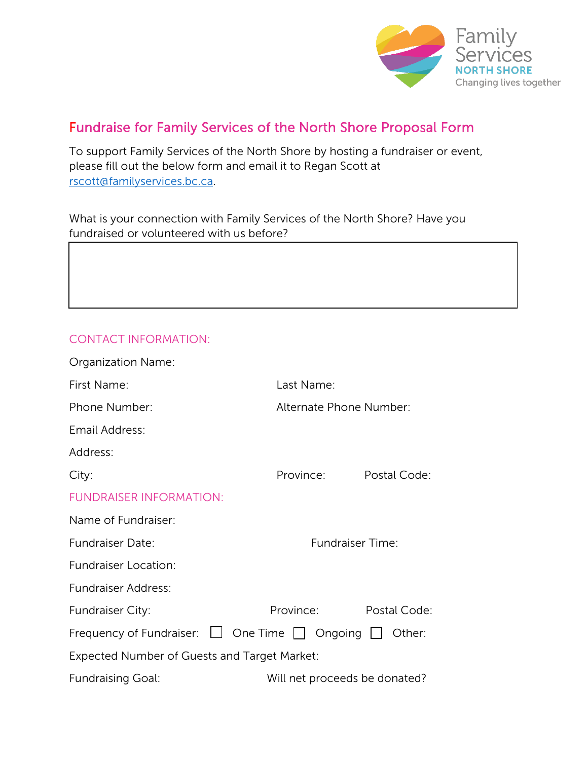

## Fundraise for Family Services of the North Shore Proposal Form

To support Family Services of the North Shore by hosting a fundraiser or event, please fill out the below form and email it to Regan Scott at [rscott@familyservices.bc.ca.](mailto:rscott@familyservices.bc.ca)

What is your connection with Family Services of the North Shore? Have you fundraised or volunteered with us before?

## CONTACT INFORMATION:

| Organization Name:                                  |                                                                       |  |
|-----------------------------------------------------|-----------------------------------------------------------------------|--|
| First Name:                                         | Last Name:                                                            |  |
| Phone Number:                                       | Alternate Phone Number:                                               |  |
| Email Address:                                      |                                                                       |  |
| Address:                                            |                                                                       |  |
| City:                                               | Province:<br>Postal Code:                                             |  |
| <b>FUNDRAISER INFORMATION:</b>                      |                                                                       |  |
| Name of Fundraiser:                                 |                                                                       |  |
| <b>Fundraiser Date:</b>                             | <b>Fundraiser Time:</b>                                               |  |
| <b>Fundraiser Location:</b>                         |                                                                       |  |
| <b>Fundraiser Address:</b>                          |                                                                       |  |
| Fundraiser City:                                    | Province:<br>Postal Code:                                             |  |
|                                                     | Frequency of Fundraiser: $\Box$ One Time $\Box$ Ongoing $\Box$ Other: |  |
| <b>Expected Number of Guests and Target Market:</b> |                                                                       |  |
| <b>Fundraising Goal:</b>                            | Will net proceeds be donated?                                         |  |